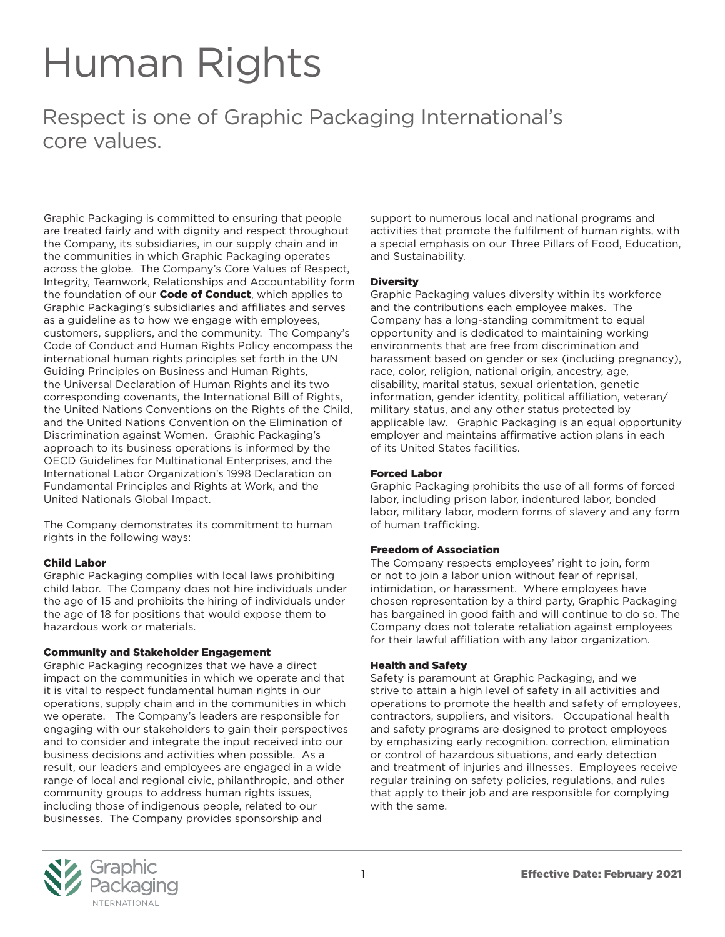# Human Rights

Respect is one of Graphic Packaging International's core values.

Graphic Packaging is committed to ensuring that people are treated fairly and with dignity and respect throughout the Company, its subsidiaries, in our supply chain and in the communities in which Graphic Packaging operates across the globe. The Company's Core Values of Respect, Integrity, Teamwork, Relationships and Accountability form the foundation of our **Code of Conduct**, which applies to Graphic Packaging's subsidiaries and affiliates and serves as a guideline as to how we engage with employees, customers, suppliers, and the community. The Company's Code of Conduct and Human Rights Policy encompass the international human rights principles set forth in the UN Guiding Principles on Business and Human Rights, the Universal Declaration of Human Rights and its two corresponding covenants, the International Bill of Rights, the United Nations Conventions on the Rights of the Child, and the United Nations Convention on the Elimination of Discrimination against Women. Graphic Packaging's approach to its business operations is informed by the OECD Guidelines for Multinational Enterprises, and the International Labor Organization's 1998 Declaration on Fundamental Principles and Rights at Work, and the United Nationals Global Impact.

The Company demonstrates its commitment to human rights in the following ways:

# Child Labor

Graphic Packaging complies with local laws prohibiting child labor. The Company does not hire individuals under the age of 15 and prohibits the hiring of individuals under the age of 18 for positions that would expose them to hazardous work or materials.

# Community and Stakeholder Engagement

Graphic Packaging recognizes that we have a direct impact on the communities in which we operate and that it is vital to respect fundamental human rights in our operations, supply chain and in the communities in which we operate. The Company's leaders are responsible for engaging with our stakeholders to gain their perspectives and to consider and integrate the input received into our business decisions and activities when possible. As a result, our leaders and employees are engaged in a wide range of local and regional civic, philanthropic, and other community groups to address human rights issues, including those of indigenous people, related to our businesses. The Company provides sponsorship and

support to numerous local and national programs and activities that promote the fulfilment of human rights, with a special emphasis on our Three Pillars of Food, Education, and Sustainability.

# **Diversity**

Graphic Packaging values diversity within its workforce and the contributions each employee makes. The Company has a long-standing commitment to equal opportunity and is dedicated to maintaining working environments that are free from discrimination and harassment based on gender or sex (including pregnancy), race, color, religion, national origin, ancestry, age, disability, marital status, sexual orientation, genetic information, gender identity, political affiliation, veteran/ military status, and any other status protected by applicable law. Graphic Packaging is an equal opportunity employer and maintains affirmative action plans in each of its United States facilities.

# Forced Labor

Graphic Packaging prohibits the use of all forms of forced labor, including prison labor, indentured labor, bonded labor, military labor, modern forms of slavery and any form of human trafficking.

# Freedom of Association

The Company respects employees' right to join, form or not to join a labor union without fear of reprisal, intimidation, or harassment. Where employees have chosen representation by a third party, Graphic Packaging has bargained in good faith and will continue to do so. The Company does not tolerate retaliation against employees for their lawful affiliation with any labor organization.

# Health and Safety

Safety is paramount at Graphic Packaging, and we strive to attain a high level of safety in all activities and operations to promote the health and safety of employees, contractors, suppliers, and visitors. Occupational health and safety programs are designed to protect employees by emphasizing early recognition, correction, elimination or control of hazardous situations, and early detection and treatment of injuries and illnesses. Employees receive regular training on safety policies, regulations, and rules that apply to their job and are responsible for complying with the same.